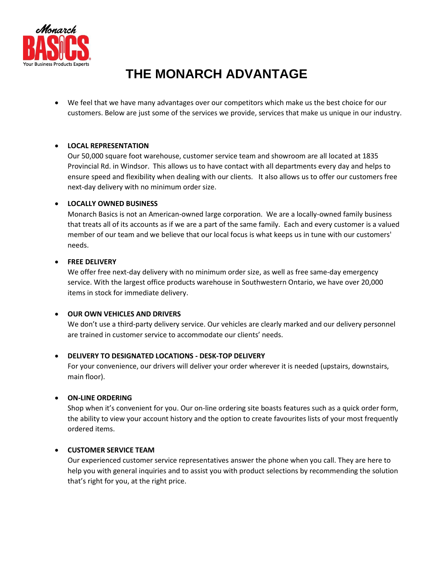

# **THE MONARCH ADVANTAGE**

• We feel that we have many advantages over our competitors which make us the best choice for our customers. Below are just some of the services we provide, services that make us unique in our industry.

## • **LOCAL REPRESENTATION**

Our 50,000 square foot warehouse, customer service team and showroom are all located at 1835 Provincial Rd. in Windsor. This allows us to have contact with all departments every day and helps to ensure speed and flexibility when dealing with our clients. It also allows us to offer our customers free next-day delivery with no minimum order size.

### • **LOCALLY OWNED BUSINESS**

Monarch Basics is not an American-owned large corporation. We are a locally-owned family business that treats all of its accounts as if we are a part of the same family. Each and every customer is a valued member of our team and we believe that our local focus is what keeps us in tune with our customers' needs.

#### • **FREE DELIVERY**

We offer free next-day delivery with no minimum order size, as well as free same-day emergency service. With the largest office products warehouse in Southwestern Ontario, we have over 20,000 items in stock for immediate delivery.

### • **OUR OWN VEHICLES AND DRIVERS**

We don't use a third-party delivery service. Our vehicles are clearly marked and our delivery personnel are trained in customer service to accommodate our clients' needs.

## • **DELIVERY TO DESIGNATED LOCATIONS - DESK-TOP DELIVERY**

For your convenience, our drivers will deliver your order wherever it is needed (upstairs, downstairs, main floor).

### • **ON-LINE ORDERING**

Shop when it's convenient for you. Our on-line ordering site boasts features such as a quick order form, the ability to view your account history and the option to create favourites lists of your most frequently ordered items.

### • **CUSTOMER SERVICE TEAM**

Our experienced customer service representatives answer the phone when you call. They are here to help you with general inquiries and to assist you with product selections by recommending the solution that's right for you, at the right price.